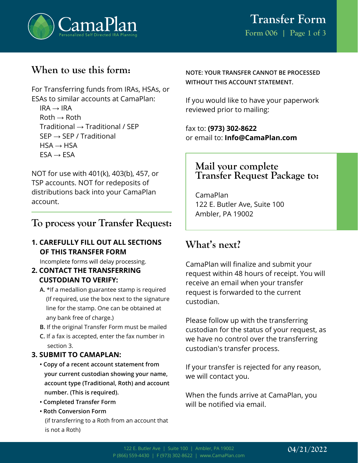

## **When to use this form:**

For Transferring funds from IRAs, HSAs, or ESAs to similar accounts at CamaPlan:

 $IRA \rightarrow IRA$  $Roth \rightarrow Roth$ Traditional → Traditional / SEP  $SEP \rightarrow SEP / Traditional$  $HSA \rightarrow HSA$  $ESA \rightarrow ESA$ 

NOT for use with 401(k), 403(b), 457, or TSP accounts. NOT for redeposits of distributions back into your CamaPlan account.

### **To process your Transfer Request:**

#### **1. CAREFULLY FILL OUT ALL SECTIONS OF THIS TRANSFER FORM**

Incomplete forms will delay processing.

- **2. CONTACT THE TRANSFERRING CUSTODIAN TO VERIFY:**
	- **A.** \*If a medallion guarantee stamp is required (If required, use the box next to the signature line for the stamp. One can be obtained at any bank free of charge.)
	- **B.** If the original Transfer Form must be mailed
	- **C.** If a fax is accepted, enter the fax number in section 3.

#### **3. SUBMIT TO CAMAPLAN:**

- **Copy of a recent account statement from your current custodian showing your name, account type (Traditional, Roth) and account number. (This is required).**
- **Completed Transfer Form**
- **Roth Conversion Form** (if transferring to a Roth from an account that is not a Roth)

**NOTE: YOUR TRANSFER CANNOT BE PROCESSED WITHOUT THIS ACCOUNT STATEMENT.**

If you would like to have your paperwork reviewed prior to mailing:

fax to: **(973) 302-8622** or email to: **Info@CamaPlan.com**

### **Mail your complete Transfer Request Package to:**

CamaPlan 122 E. Butler Ave, Suite 100 Ambler, PA 19002

## **What's next?**

CamaPlan will finalize and submit your request within 48 hours of receipt. You will receive an email when your transfer request is forwarded to the current custodian.

Please follow up with the transferring custodian for the status of your request, as we have no control over the transferring custodian's transfer process.

If your transfer is rejected for any reason, we will contact you.

When the funds arrive at CamaPlan, you will be notified via email.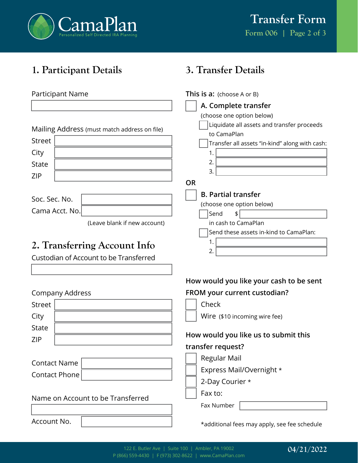

**3. Transfer Details**

**This is a:** (choose A or B)

# **1. Participant Details**

#### Participant Name

|                                              | A. Complete transfer                           |
|----------------------------------------------|------------------------------------------------|
|                                              | (choose one option below)                      |
| Mailing Address (must match address on file) | Liquidate all assets and transfer proceeds     |
|                                              | to CamaPlan                                    |
| <b>Street</b>                                | Transfer all assets "in-kind" along with cash: |
| City                                         | 1.                                             |
| <b>State</b>                                 | 2.                                             |
| <b>ZIP</b>                                   | 3.                                             |
|                                              | <b>OR</b>                                      |
| Soc. Sec. No.                                | <b>B. Partial transfer</b>                     |
| Cama Acct. No.                               | (choose one option below)                      |
|                                              | Send<br>\$                                     |
| (Leave blank if new account)                 | in cash to CamaPlan                            |
|                                              | Send these assets in-kind to CamaPlan:         |
| 2. Transferring Account Info                 | 1.<br>2.                                       |
| Custodian of Account to be Transferred       |                                                |
|                                              |                                                |
|                                              | How would you like your cash to be sent        |
| <b>Company Address</b>                       | FROM your current custodian?                   |
| <b>Street</b>                                | Check                                          |
| City                                         | Wire (\$10 incoming wire fee)                  |
| <b>State</b>                                 |                                                |
| <b>ZIP</b>                                   | How would you like us to submit this           |
|                                              | transfer request?                              |
| <b>Contact Name</b>                          | Regular Mail                                   |
|                                              | Express Mail/Overnight *                       |
| <b>Contact Phone</b>                         | 2-Day Courier *                                |
|                                              |                                                |
| Name on Account to be Transferred            | Fax to:                                        |

Account No.

\*additional fees may apply, see fee schedule

Fax Number